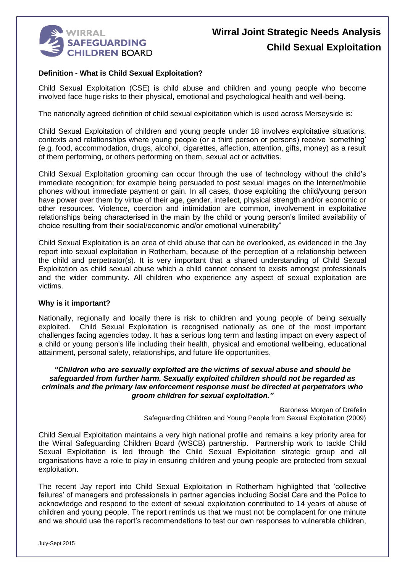

# **Wirral Joint Strategic Needs Analysis Child Sexual Exploitation**

## **Definition - What is Child Sexual Exploitation?**

Child Sexual Exploitation (CSE) is child abuse and children and young people who become involved face huge risks to their physical, emotional and psychological health and well-being.

The nationally agreed definition of child sexual exploitation which is used across Merseyside is:

Child Sexual Exploitation of children and young people under 18 involves exploitative situations, contexts and relationships where young people (or a third person or persons) receive 'something' (e.g. food, accommodation, drugs, alcohol, cigarettes, affection, attention, gifts, money) as a result of them performing, or others performing on them, sexual act or activities.

Child Sexual Exploitation grooming can occur through the use of technology without the child's immediate recognition; for example being persuaded to post sexual images on the Internet/mobile phones without immediate payment or gain. In all cases, those exploiting the child/young person have power over them by virtue of their age, gender, intellect, physical strength and/or economic or other resources. Violence, coercion and intimidation are common, involvement in exploitative relationships being characterised in the main by the child or young person's limited availability of choice resulting from their social/economic and/or emotional vulnerability"

Child Sexual Exploitation is an area of child abuse that can be overlooked, as evidenced in the Jay report into sexual exploitation in Rotherham, because of the perception of a relationship between the child and perpetrator(s). It is very important that a shared understanding of Child Sexual Exploitation as child sexual abuse which a child cannot consent to exists amongst professionals and the wider community. All children who experience any aspect of sexual exploitation are victims.

#### **Why is it important?**

Nationally, regionally and locally there is risk to children and young people of being sexually exploited. Child Sexual Exploitation is recognised nationally as one of the most important challenges facing agencies today. It has a serious long term and lasting impact on every aspect of a child or young person's life including their health, physical and emotional wellbeing, educational attainment, personal safety, relationships, and future life opportunities.

#### *"Children who are sexually exploited are the victims of sexual abuse and should be safeguarded from further harm. Sexually exploited children should not be regarded as criminals and the primary law enforcement response must be directed at perpetrators who groom children for sexual exploitation."*

Baroness Morgan of Drefelin Safeguarding Children and Young People from Sexual Exploitation (2009)

Child Sexual Exploitation maintains a very high national profile and remains a key priority area for the Wirral Safeguarding Children Board (WSCB) partnership. Partnership work to tackle Child Sexual Exploitation is led through the Child Sexual Exploitation strategic group and all organisations have a role to play in ensuring children and young people are protected from sexual exploitation.

The recent Jay report into Child Sexual Exploitation in Rotherham highlighted that 'collective failures' of managers and professionals in partner agencies including Social Care and the Police to acknowledge and respond to the extent of sexual exploitation contributed to 14 years of abuse of children and young people. The report reminds us that we must not be complacent for one minute and we should use the report's recommendations to test our own responses to vulnerable children,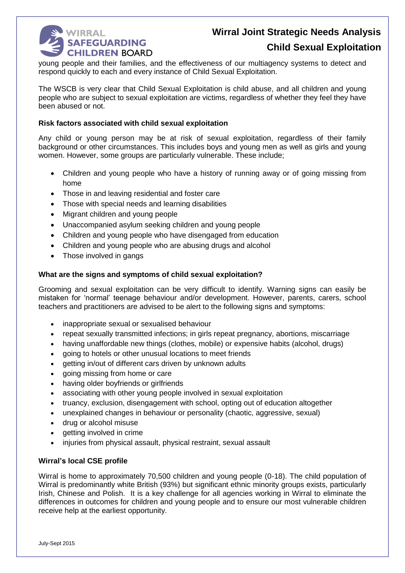

## **Child Sexual Exploitation**

young people and their families, and the effectiveness of our multiagency systems to detect and respond quickly to each and every instance of Child Sexual Exploitation.

The WSCB is very clear that Child Sexual Exploitation is child abuse, and all children and young people who are subject to sexual exploitation are victims, regardless of whether they feel they have been abused or not.

### **Risk factors associated with child sexual exploitation**

Any child or young person may be at risk of sexual exploitation, regardless of their family background or other circumstances. This includes boys and young men as well as girls and young women. However, some groups are particularly vulnerable. These include;

- Children and young people who have a history of running away or of going missing from home
- Those in and leaving residential and foster care
- Those with special needs and learning disabilities
- Migrant children and young people
- Unaccompanied asylum seeking children and young people
- Children and young people who have disengaged from education
- Children and young people who are abusing drugs and alcohol
- Those involved in gangs

#### **What are the signs and symptoms of child sexual exploitation?**

Grooming and sexual exploitation can be very difficult to identify. Warning signs can easily be mistaken for 'normal' teenage behaviour and/or development. However, parents, carers, school teachers and practitioners are advised to be alert to the following signs and symptoms:

- inappropriate sexual or sexualised behaviour
- repeat sexually transmitted infections; in girls repeat pregnancy, abortions, miscarriage
- having unaffordable new things (clothes, mobile) or expensive habits (alcohol, drugs)
- going to hotels or other unusual locations to meet friends
- aetting in/out of different cars driven by unknown adults
- going missing from home or care
- having older boyfriends or girlfriends
- associating with other young people involved in sexual exploitation
- truancy, exclusion, disengagement with school, opting out of education altogether
- unexplained changes in behaviour or personality (chaotic, aggressive, sexual)
- drug or alcohol misuse
- getting involved in crime
- injuries from physical assault, physical restraint, sexual assault

## **Wirral's local CSE profile**

Wirral is home to approximately 70,500 children and young people (0-18). The child population of Wirral is predominantly white British (93%) but significant ethnic minority groups exists, particularly Irish, Chinese and Polish. It is a key challenge for all agencies working in Wirral to eliminate the differences in outcomes for children and young people and to ensure our most vulnerable children receive help at the earliest opportunity.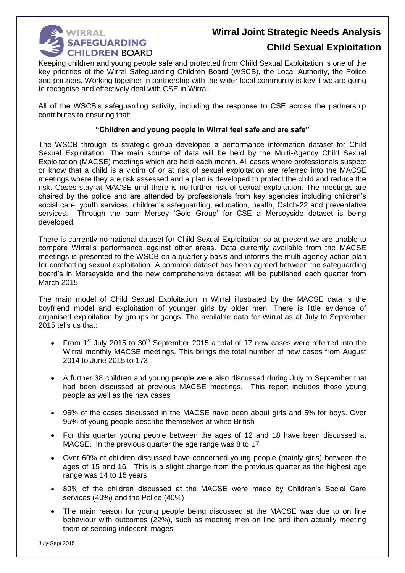

## **Child Sexual Exploitation**

Keeping children and young people safe and protected from Child Sexual Exploitation is one of the key priorities of the Wirral Safeguarding Children Board (WSCB), the Local Authority, the Police and partners. Working together in partnership with the wider local community is key if we are going to recognise and effectively deal with CSE in Wirral.

All of the WSCB's safeguarding activity, including the response to CSE across the partnership contributes to ensuring that:

## **"Children and young people in Wirral feel safe and are safe"**

The WSCB through its strategic group developed a performance information dataset for Child Sexual Exploitation. The main source of data will be held by the Multi-Agency Child Sexual Exploitation (MACSE) meetings which are held each month. All cases where professionals suspect or know that a child is a victim of or at risk of sexual exploitation are referred into the MACSE meetings where they are risk assessed and a plan is developed to protect the child and reduce the risk. Cases stay at MACSE until there is no further risk of sexual exploitation. The meetings are chaired by the police and are attended by professionals from key agencies including children's social care, youth services, children's safeguarding, education, health, Catch-22 and preventative services. Through the pam Mersey 'Gold Group' for CSE a Merseyside dataset is being developed.

There is currently no national dataset for Child Sexual Exploitation so at present we are unable to compare Wirral's performance against other areas. Data currently available from the MACSE meetings is presented to the WSCB on a quarterly basis and informs the multi-agency action plan for combatting sexual exploitation. A common dataset has been agreed between the safeguarding board's in Merseyside and the new comprehensive dataset will be published each quarter from March 2015.

The main model of Child Sexual Exploitation in Wirral illustrated by the MACSE data is the boyfriend model and exploitation of younger girls by older men. There is little evidence of organised exploitation by groups or gangs. The available data for Wirral as at July to September 2015 tells us that:

- From 1<sup>st</sup> July 2015 to 30<sup>th</sup> September 2015 a total of 17 new cases were referred into the Wirral monthly MACSE meetings. This brings the total number of new cases from August 2014 to June 2015 to 173
- A further 38 children and young people were also discussed during July to September that had been discussed at previous MACSE meetings. This report includes those young people as well as the new cases
- 95% of the cases discussed in the MACSE have been about girls and 5% for boys. Over 95% of young people describe themselves at white British
- For this quarter young people between the ages of 12 and 18 have been discussed at MACSE. In the previous quarter the age range was 8 to 17
- Over 60% of children discussed have concerned young people (mainly girls) between the ages of 15 and 16. This is a slight change from the previous quarter as the highest age range was 14 to 15 years
- 80% of the children discussed at the MACSE were made by Children's Social Care services (40%) and the Police (40%)
- The main reason for young people being discussed at the MACSE was due to on line behaviour with outcomes (22%), such as meeting men on line and then actually meeting them or sending indecent images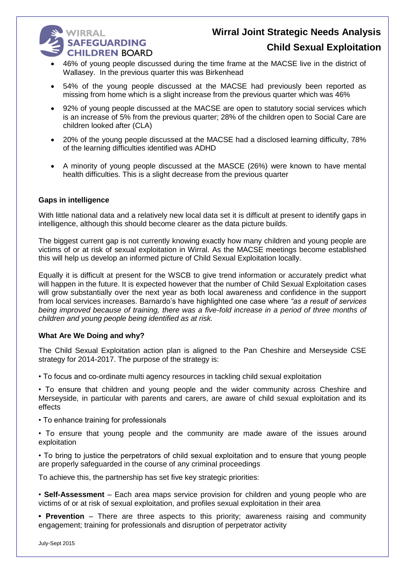# **WIRRAL SAFEGUARDING CHILDREN BOARD**

# **Wirral Joint Strategic Needs Analysis Child Sexual Exploitation**

- 46% of young people discussed during the time frame at the MACSE live in the district of Wallasey. In the previous quarter this was Birkenhead
- 54% of the young people discussed at the MACSE had previously been reported as missing from home which is a slight increase from the previous quarter which was 46%
- 92% of young people discussed at the MACSE are open to statutory social services which is an increase of 5% from the previous quarter; 28% of the children open to Social Care are children looked after (CLA)
- 20% of the young people discussed at the MACSE had a disclosed learning difficulty, 78% of the learning difficulties identified was ADHD
- A minority of young people discussed at the MASCE (26%) were known to have mental health difficulties. This is a slight decrease from the previous quarter

## **Gaps in intelligence**

With little national data and a relatively new local data set it is difficult at present to identify gaps in intelligence, although this should become clearer as the data picture builds.

The biggest current gap is not currently knowing exactly how many children and young people are victims of or at risk of sexual exploitation in Wirral. As the MACSE meetings become established this will help us develop an informed picture of Child Sexual Exploitation locally.

Equally it is difficult at present for the WSCB to give trend information or accurately predict what will happen in the future. It is expected however that the number of Child Sexual Exploitation cases will grow substantially over the next year as both local awareness and confidence in the support from local services increases. Barnardo's have highlighted one case where *"as a result of services*  being improved because of training, there was a five-fold increase in a period of three months of *children and young people being identified as at risk.*

## **What Are We Doing and why?**

The Child Sexual Exploitation action plan is aligned to the Pan Cheshire and Merseyside CSE strategy for 2014-2017. The purpose of the strategy is:

• To focus and co-ordinate multi agency resources in tackling child sexual exploitation

• To ensure that children and young people and the wider community across Cheshire and Merseyside, in particular with parents and carers, are aware of child sexual exploitation and its effects

- To enhance training for professionals
- To ensure that young people and the community are made aware of the issues around exploitation

• To bring to justice the perpetrators of child sexual exploitation and to ensure that young people are properly safeguarded in the course of any criminal proceedings

To achieve this, the partnership has set five key strategic priorities:

• **Self-Assessment** – Each area maps service provision for children and young people who are victims of or at risk of sexual exploitation, and profiles sexual exploitation in their area

**• Prevention** – There are three aspects to this priority; awareness raising and community engagement; training for professionals and disruption of perpetrator activity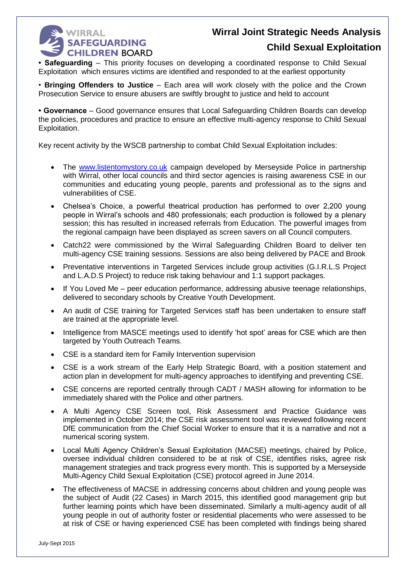# **WIRRAL SAFEGUARDING CHILDREN BOARD**

# **Wirral Joint Strategic Needs Analysis**

## **Child Sexual Exploitation**

**• Safeguarding** – This priority focuses on developing a coordinated response to Child Sexual Exploitation which ensures victims are identified and responded to at the earliest opportunity

• **Bringing Offenders to Justice** – Each area will work closely with the police and the Crown Prosecution Service to ensure abusers are swiftly brought to justice and held to account

**• Governance** – Good governance ensures that Local Safeguarding Children Boards can develop the policies, procedures and practice to ensure an effective multi-agency response to Child Sexual Exploitation.

Key recent activity by the WSCB partnership to combat Child Sexual Exploitation includes:

- The [www.listentomystory.co.uk](http://www.listentomystory.co.uk/) campaign developed by Merseyside Police in partnership with Wirral, other local councils and third sector agencies is raising awareness CSE in our communities and educating young people, parents and professional as to the signs and vulnerabilities of CSE.
- Chelsea's Choice, a powerful theatrical production has performed to over 2,200 young people in Wirral's schools and 480 professionals; each production is followed by a plenary session; this has resulted in increased referrals from Education. The powerful images from the regional campaign have been displayed as screen savers on all Council computers.
- Catch22 were commissioned by the Wirral Safeguarding Children Board to deliver ten multi-agency CSE training sessions. Sessions are also being delivered by PACE and Brook
- Preventative interventions in Targeted Services include group activities (G.I.R.L.S Project and L.A.D.S Project) to reduce risk taking behaviour and 1:1 support packages.
- If You Loved Me peer education performance, addressing abusive teenage relationships, delivered to secondary schools by Creative Youth Development.
- An audit of CSE training for Targeted Services staff has been undertaken to ensure staff are trained at the appropriate level.
- Intelligence from MASCE meetings used to identify 'hot spot' areas for CSE which are then targeted by Youth Outreach Teams.
- CSE is a standard item for Family Intervention supervision
- CSE is a work stream of the Early Help Strategic Board, with a position statement and action plan in development for multi-agency approaches to identifying and preventing CSE.
- CSE concerns are reported centrally through CADT / MASH allowing for information to be immediately shared with the Police and other partners.
- A Multi Agency CSE Screen tool, Risk Assessment and Practice Guidance was implemented in October 2014; the CSE risk assessment tool was reviewed following recent DfE communication from the Chief Social Worker to ensure that it is a narrative and not a numerical scoring system.
- Local Multi Agency Children's Sexual Exploitation (MACSE) meetings, chaired by Police, oversee individual children considered to be at risk of CSE, identifies risks, agree risk management strategies and track progress every month. This is supported by a Merseyside Multi-Agency Child Sexual Exploitation (CSE) protocol agreed in June 2014.
- The effectiveness of MACSE in addressing concerns about children and young people was the subject of Audit (22 Cases) in March 2015, this identified good management grip but further learning points which have been disseminated. Similarly a multi-agency audit of all young people in out of authority foster or residential placements who were assessed to be at risk of CSE or having experienced CSE has been completed with findings being shared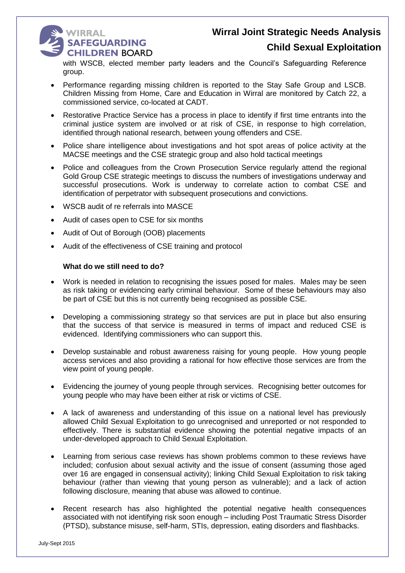## **WIRRAL** SAFEGUARDING **CHILDREN BOARD**

## **Child Sexual Exploitation**

with WSCB, elected member party leaders and the Council's Safeguarding Reference group.

- Performance regarding missing children is reported to the Stay Safe Group and LSCB. Children Missing from Home, Care and Education in Wirral are monitored by Catch 22, a commissioned service, co-located at CADT.
- Restorative Practice Service has a process in place to identify if first time entrants into the criminal justice system are involved or at risk of CSE, in response to high correlation, identified through national research, between young offenders and CSE.
- Police share intelligence about investigations and hot spot areas of police activity at the MACSE meetings and the CSE strategic group and also hold tactical meetings
- Police and colleagues from the Crown Prosecution Service regularly attend the regional Gold Group CSE strategic meetings to discuss the numbers of investigations underway and successful prosecutions. Work is underway to correlate action to combat CSE and identification of perpetrator with subsequent prosecutions and convictions.
- WSCB audit of re referrals into MASCE
- Audit of cases open to CSE for six months
- Audit of Out of Borough (OOB) placements
- Audit of the effectiveness of CSE training and protocol

## **What do we still need to do?**

- Work is needed in relation to recognising the issues posed for males. Males may be seen as risk taking or evidencing early criminal behaviour. Some of these behaviours may also be part of CSE but this is not currently being recognised as possible CSE.
- Developing a commissioning strategy so that services are put in place but also ensuring that the success of that service is measured in terms of impact and reduced CSE is evidenced. Identifying commissioners who can support this.
- Develop sustainable and robust awareness raising for young people. How young people access services and also providing a rational for how effective those services are from the view point of young people.
- Evidencing the journey of young people through services. Recognising better outcomes for young people who may have been either at risk or victims of CSE.
- A lack of awareness and understanding of this issue on a national level has previously allowed Child Sexual Exploitation to go unrecognised and unreported or not responded to effectively. There is substantial evidence showing the potential negative impacts of an under-developed approach to Child Sexual Exploitation.
- Learning from serious case reviews has shown problems common to these reviews have included; confusion about sexual activity and the issue of consent (assuming those aged over 16 are engaged in consensual activity); linking Child Sexual Exploitation to risk taking behaviour (rather than viewing that young person as vulnerable); and a lack of action following disclosure, meaning that abuse was allowed to continue.
- Recent research has also highlighted the potential negative health consequences associated with not identifying risk soon enough – including Post Traumatic Stress Disorder (PTSD), substance misuse, self-harm, STIs, depression, eating disorders and flashbacks.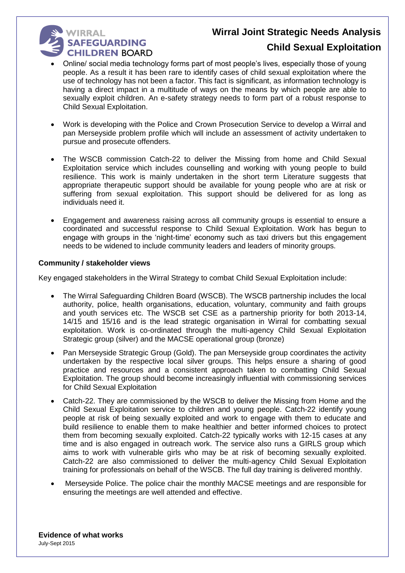### **WIRRAL** SAFEGUARDING **CHILDREN BOARD**

## **Child Sexual Exploitation**

- Online/ social media technology forms part of most people's lives, especially those of young people. As a result it has been rare to identify cases of child sexual exploitation where the use of technology has not been a factor. This fact is significant, as information technology is having a direct impact in a multitude of ways on the means by which people are able to sexually exploit children. An e-safety strategy needs to form part of a robust response to Child Sexual Exploitation.
- Work is developing with the Police and Crown Prosecution Service to develop a Wirral and pan Merseyside problem profile which will include an assessment of activity undertaken to pursue and prosecute offenders.
- The WSCB commission Catch-22 to deliver the Missing from home and Child Sexual Exploitation service which includes counselling and working with young people to build resilience. This work is mainly undertaken in the short term Literature suggests that appropriate therapeutic support should be available for young people who are at risk or suffering from sexual exploitation. This support should be delivered for as long as individuals need it.
- Engagement and awareness raising across all community groups is essential to ensure a coordinated and successful response to Child Sexual Exploitation. Work has begun to engage with groups in the 'night-time' economy such as taxi drivers but this engagement needs to be widened to include community leaders and leaders of minority groups.

## **Community / stakeholder views**

Key engaged stakeholders in the Wirral Strategy to combat Child Sexual Exploitation include:

- The Wirral Safeguarding Children Board (WSCB). The WSCB partnership includes the local authority, police, health organisations, education, voluntary, community and faith groups and youth services etc. The WSCB set CSE as a partnership priority for both 2013-14, 14/15 and 15/16 and is the lead strategic organisation in Wirral for combatting sexual exploitation. Work is co-ordinated through the multi-agency Child Sexual Exploitation Strategic group (silver) and the MACSE operational group (bronze)
- Pan Merseyside Strategic Group (Gold). The pan Merseyside group coordinates the activity undertaken by the respective local silver groups. This helps ensure a sharing of good practice and resources and a consistent approach taken to combatting Child Sexual Exploitation. The group should become increasingly influential with commissioning services for Child Sexual Exploitation
- Catch-22. They are commissioned by the WSCB to deliver the Missing from Home and the Child Sexual Exploitation service to children and young people. Catch-22 identify young people at risk of being sexually exploited and work to engage with them to educate and build resilience to enable them to make healthier and better informed choices to protect them from becoming sexually exploited. Catch-22 typically works with 12-15 cases at any time and is also engaged in outreach work. The service also runs a GIRLS group which aims to work with vulnerable girls who may be at risk of becoming sexually exploited. Catch-22 are also commissioned to deliver the multi-agency Child Sexual Exploitation training for professionals on behalf of the WSCB. The full day training is delivered monthly.
- Merseyside Police. The police chair the monthly MACSE meetings and are responsible for ensuring the meetings are well attended and effective.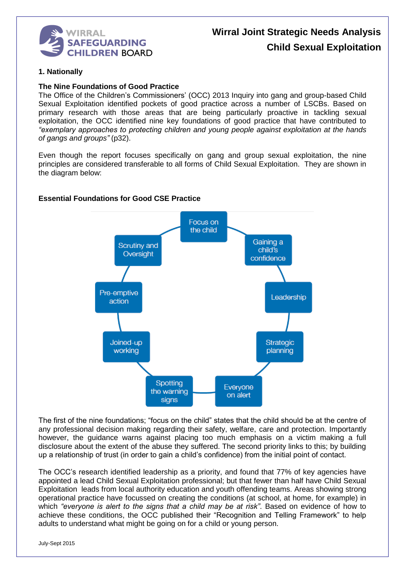

# **Wirral Joint Strategic Needs Analysis Child Sexual Exploitation**

## **1. Nationally**

### **The Nine Foundations of Good Practice**

The Office of the Children's Commissioners' (OCC) 2013 Inquiry into gang and group-based Child Sexual Exploitation identified pockets of good practice across a number of LSCBs. Based on primary research with those areas that are being particularly proactive in tackling sexual exploitation, the OCC identified nine key foundations of good practice that have contributed to *"exemplary approaches to protecting children and young people against exploitation at the hands of gangs and groups"* (p32).

Even though the report focuses specifically on gang and group sexual exploitation, the nine principles are considered transferable to all forms of Child Sexual Exploitation. They are shown in the diagram below:



## **Essential Foundations for Good CSE Practice**

The first of the nine foundations; "focus on the child" states that the child should be at the centre of any professional decision making regarding their safety, welfare, care and protection. Importantly however, the guidance warns against placing too much emphasis on a victim making a full disclosure about the extent of the abuse they suffered. The second priority links to this; by building up a relationship of trust (in order to gain a child's confidence) from the initial point of contact.

The OCC's research identified leadership as a priority, and found that 77% of key agencies have appointed a lead Child Sexual Exploitation professional; but that fewer than half have Child Sexual Exploitation leads from local authority education and youth offending teams. Areas showing strong operational practice have focussed on creating the conditions (at school, at home, for example) in which *"everyone is alert to the signs that a child may be at risk"*. Based on evidence of how to achieve these conditions, the OCC published their "Recognition and Telling Framework" to help adults to understand what might be going on for a child or young person.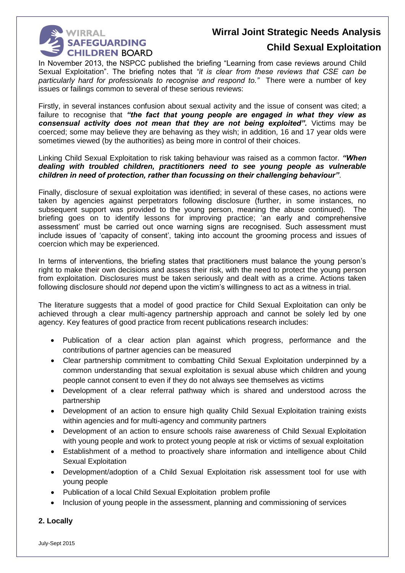

## **Child Sexual Exploitation**

In November 2013, the NSPCC published the briefing "Learning from case reviews around Child Sexual Exploitation". The briefing notes that *"it is clear from these reviews that CSE can be particularly hard for professionals to recognise and respond to."* There were a number of key issues or failings common to several of these serious reviews:

Firstly, in several instances confusion about sexual activity and the issue of consent was cited; a failure to recognise that *"the fact that young people are engaged in what they view as consensual activity does not mean that they are not being exploited".* Victims may be coerced; some may believe they are behaving as they wish; in addition, 16 and 17 year olds were sometimes viewed (by the authorities) as being more in control of their choices.

Linking Child Sexual Exploitation to risk taking behaviour was raised as a common factor. *"When dealing with troubled children, practitioners need to see young people as vulnerable children in need of protection, rather than focussing on their challenging behaviour"*.

Finally, disclosure of sexual exploitation was identified; in several of these cases, no actions were taken by agencies against perpetrators following disclosure (further, in some instances, no subsequent support was provided to the young person, meaning the abuse continued). The briefing goes on to identify lessons for improving practice; 'an early and comprehensive assessment' must be carried out once warning signs are recognised. Such assessment must include issues of 'capacity of consent', taking into account the grooming process and issues of coercion which may be experienced.

In terms of interventions, the briefing states that practitioners must balance the young person's right to make their own decisions and assess their risk, with the need to protect the young person from exploitation. Disclosures must be taken seriously and dealt with as a crime. Actions taken following disclosure should *not* depend upon the victim's willingness to act as a witness in trial.

The literature suggests that a model of good practice for Child Sexual Exploitation can only be achieved through a clear multi-agency partnership approach and cannot be solely led by one agency. Key features of good practice from recent publications research includes:

- Publication of a clear action plan against which progress, performance and the contributions of partner agencies can be measured
- Clear partnership commitment to combatting Child Sexual Exploitation underpinned by a common understanding that sexual exploitation is sexual abuse which children and young people cannot consent to even if they do not always see themselves as victims
- Development of a clear referral pathway which is shared and understood across the partnership
- Development of an action to ensure high quality Child Sexual Exploitation training exists within agencies and for multi-agency and community partners
- Development of an action to ensure schools raise awareness of Child Sexual Exploitation with young people and work to protect young people at risk or victims of sexual exploitation
- Establishment of a method to proactively share information and intelligence about Child Sexual Exploitation
- Development/adoption of a Child Sexual Exploitation risk assessment tool for use with young people
- Publication of a local Child Sexual Exploitation problem profile
- Inclusion of young people in the assessment, planning and commissioning of services

## **2. Locally**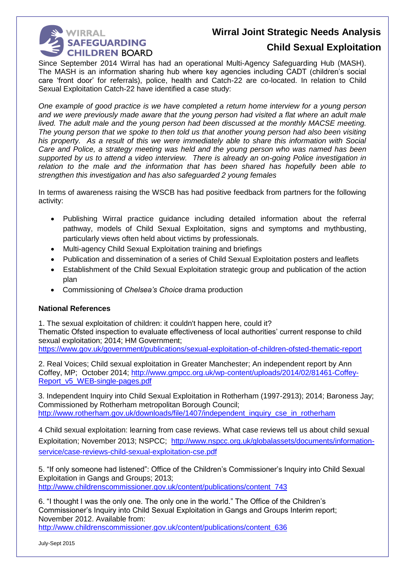

## **Child Sexual Exploitation**

Since September 2014 Wirral has had an operational Multi-Agency Safeguarding Hub (MASH). The MASH is an information sharing hub where key agencies including CADT (children's social care 'front door' for referrals), police, health and Catch-22 are co-located. In relation to Child Sexual Exploitation Catch-22 have identified a case study:

*One example of good practice is we have completed a return home interview for a young person and we were previously made aware that the young person had visited a flat where an adult male lived. The adult male and the young person had been discussed at the monthly MACSE meeting. The young person that we spoke to then told us that another young person had also been visiting his property. As a result of this we were immediately able to share this information with Social Care and Police, a strategy meeting was held and the young person who was named has been supported by us to attend a video interview. There is already an on-going Police investigation in relation to the male and the information that has been shared has hopefully been able to strengthen this investigation and has also safeguarded 2 young females*

In terms of awareness raising the WSCB has had positive feedback from partners for the following activity:

- Publishing Wirral practice guidance including detailed information about the referral pathway, models of Child Sexual Exploitation, signs and symptoms and mythbusting, particularly views often held about victims by professionals.
- Multi-agency Child Sexual Exploitation training and briefings
- Publication and dissemination of a series of Child Sexual Exploitation posters and leaflets
- Establishment of the Child Sexual Exploitation strategic group and publication of the action plan
- Commissioning of *Chelsea's Choice* drama production

## **National References**

1. The sexual exploitation of children: it couldn't happen here, could it? Thematic Ofsted inspection to evaluate effectiveness of local authorities' current response to child sexual exploitation; 2014; HM Government; <https://www.gov.uk/government/publications/sexual-exploitation-of-children-ofsted-thematic-report>

2. Real Voices; Child sexual exploitation in Greater Manchester; An independent report by Ann Coffey, MP; October 2014; [http://www.gmpcc.org.uk/wp-content/uploads/2014/02/81461-Coffey-](http://www.gmpcc.org.uk/wp-content/uploads/2014/02/81461-Coffey-Report_v5_WEB-single-pages.pdf)[Report\\_v5\\_WEB-single-pages.pdf](http://www.gmpcc.org.uk/wp-content/uploads/2014/02/81461-Coffey-Report_v5_WEB-single-pages.pdf)

3. Independent Inquiry into Child Sexual Exploitation in Rotherham (1997-2913); 2014; Baroness Jay; Commissioned by Rotherham metropolitan Borough Council; [http://www.rotherham.gov.uk/downloads/file/1407/independent\\_inquiry\\_cse\\_in\\_rotherham](http://www.rotherham.gov.uk/downloads/file/1407/independent_inquiry_cse_in_rotherham)

4 Child sexual exploitation: learning from case reviews. What case reviews tell us about child sexual Exploitation; November 2013; NSPCC; [http://www.nspcc.org.uk/globalassets/documents/information](http://www.nspcc.org.uk/globalassets/documents/information-service/case-reviews-child-sexual-exploitation-cse.pdf)[service/case-reviews-child-sexual-exploitation-cse.pdf](http://www.nspcc.org.uk/globalassets/documents/information-service/case-reviews-child-sexual-exploitation-cse.pdf)

5. "If only someone had listened": Office of the Children's Commissioner's Inquiry into Child Sexual Exploitation in Gangs and Groups; 2013; [http://www.childrenscommissioner.gov.uk/content/publications/content\\_743](http://www.childrenscommissioner.gov.uk/content/publications/content_743)

6. "I thought I was the only one. The only one in the world." The Office of the Children's Commissioner's Inquiry into Child Sexual Exploitation in Gangs and Groups Interim report; November 2012. Available from:

[http://www.childrenscommissioner.gov.uk/content/publications/content\\_636](http://www.childrenscommissioner.gov.uk/content/publications/content_636)